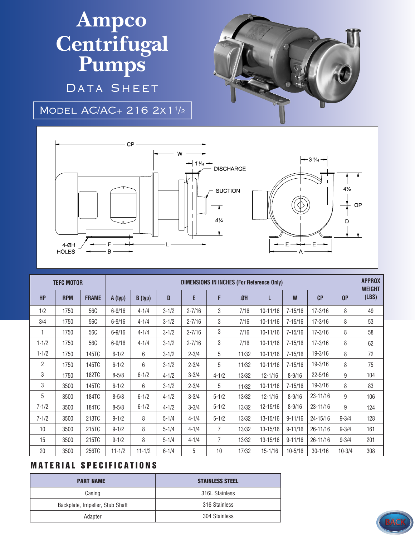## **Ampco Centrifugal Pumps** DATA SHEET



Model AC/AC+ 216 2x11/2



| <b>TEFC MOTOR</b> |            |              | <b>DIMENSIONS IN INCHES (For Reference Only)</b> |            |           |            |                |                  |              |             |              |            | <b>APPROX</b><br><b>WEIGHT</b> |
|-------------------|------------|--------------|--------------------------------------------------|------------|-----------|------------|----------------|------------------|--------------|-------------|--------------|------------|--------------------------------|
| <b>HP</b>         | <b>RPM</b> | <b>FRAME</b> | A (typ)                                          | B (typ)    | D         | E          | F              | $\mathfrak{B}$ H | L            | W           | CP           | 0P         | (LBS)                          |
| 1/2               | 1750       | 56C          | $6 - 9/16$                                       | $4 - 1/4$  | $3 - 1/2$ | $2 - 7/16$ | 3              | 7/16             | $10 - 11/16$ | $7 - 15/16$ | $17 - 3/16$  | 8          | 49                             |
| 3/4               | 1750       | 56C          | $6 - 9/16$                                       | $4 - 1/4$  | $3 - 1/2$ | $2 - 7/16$ | 3              | 7/16             | $10 - 11/16$ | $7 - 15/16$ | $17 - 3/16$  | 8          | 53                             |
| 1                 | 1750       | 56C          | $6 - 9/16$                                       | $4 - 1/4$  | $3 - 1/2$ | $2 - 7/16$ | 3              | 7/16             | $10 - 11/16$ | $7 - 15/16$ | $17 - 3/16$  | 8          | 58                             |
| $1 - 1/2$         | 1750       | 56C          | $6 - 9/16$                                       | $4 - 1/4$  | $3 - 1/2$ | $2 - 7/16$ | 3              | 7/16             | $10 - 11/16$ | $7 - 15/16$ | $17 - 3/16$  | 8          | 62                             |
| $1 - 1/2$         | 1750       | 145TC        | $6 - 1/2$                                        | 6          | $3 - 1/2$ | $2 - 3/4$  | 5              | 11/32            | $10 - 11/16$ | $7 - 15/16$ | $19 - 3/16$  | 8          | 72                             |
| $\overline{2}$    | 1750       | 145TC        | $6 - 1/2$                                        | 6          | $3 - 1/2$ | $2 - 3/4$  | 5              | 11/32            | $10 - 11/16$ | $7 - 15/16$ | $19 - 3/16$  | 8          | 75                             |
| 3                 | 1750       | <b>182TC</b> | $8 - 5/8$                                        | $6 - 1/2$  | $4 - 1/2$ | $3 - 3/4$  | $4 - 1/2$      | 13/32            | $12 - 1/16$  | $8 - 9/16$  | $22 - 5/16$  | 9          | 104                            |
| 3                 | 3500       | 145TC        | $6 - 1/2$                                        | 6          | $3 - 1/2$ | $2 - 3/4$  | 5              | 11/32            | $10 - 11/16$ | $7 - 15/16$ | $19 - 3/16$  | 8          | 83                             |
| 5                 | 3500       | <b>184TC</b> | $8 - 5/8$                                        | $6 - 1/2$  | $4 - 1/2$ | $3 - 3/4$  | $5 - 1/2$      | 13/32            | $12 - 1/16$  | $8 - 9/16$  | 23-11/16     | 9          | 106                            |
| $7 - 1/2$         | 3500       | <b>184TC</b> | $8 - 5/8$                                        | $6 - 1/2$  | $4 - 1/2$ | $3 - 3/4$  | $5 - 1/2$      | 13/32            | 12-15/16     | $8 - 9/16$  | $23 - 11/16$ | 9          | 124                            |
| $7 - 1/2$         | 3500       | 213TC        | $9 - 1/2$                                        | 8          | $5 - 1/4$ | $4 - 1/4$  | $5 - 1/2$      | 13/32            | 13-15/16     | $9 - 11/16$ | 24-15/16     | $9 - 3/4$  | 128                            |
| 10                | 3500       | 215TC        | $9 - 1/2$                                        | 8          | $5 - 1/4$ | $4 - 1/4$  | $\overline{7}$ | 13/32            | $13 - 15/16$ | $9 - 11/16$ | $26 - 11/16$ | $9 - 3/4$  | 161                            |
| 15                | 3500       | 215TC        | $9 - 1/2$                                        | 8          | $5 - 1/4$ | $4 - 1/4$  | $\overline{7}$ | 13/32            | 13-15/16     | $9 - 11/16$ | $26 - 11/16$ | $9 - 3/4$  | 201                            |
| 20                | 3500       | 256TC        | $11 - 1/2$                                       | $11 - 1/2$ | $6 - 1/4$ | 5          | 10             | 17/32            | $15 - 1/16$  | $10 - 5/16$ | $30 - 1/16$  | $10 - 3/4$ | 308                            |

## **MATERIAL SPECIFICATIONS**

| <b>PART NAME</b>                | <b>STAINLESS STEEL</b> |  |  |  |  |
|---------------------------------|------------------------|--|--|--|--|
| Casing                          | 316L Stainless         |  |  |  |  |
| Backplate, Impeller, Stub Shaft | 316 Stainless          |  |  |  |  |
| Adapter                         | 304 Stainless          |  |  |  |  |